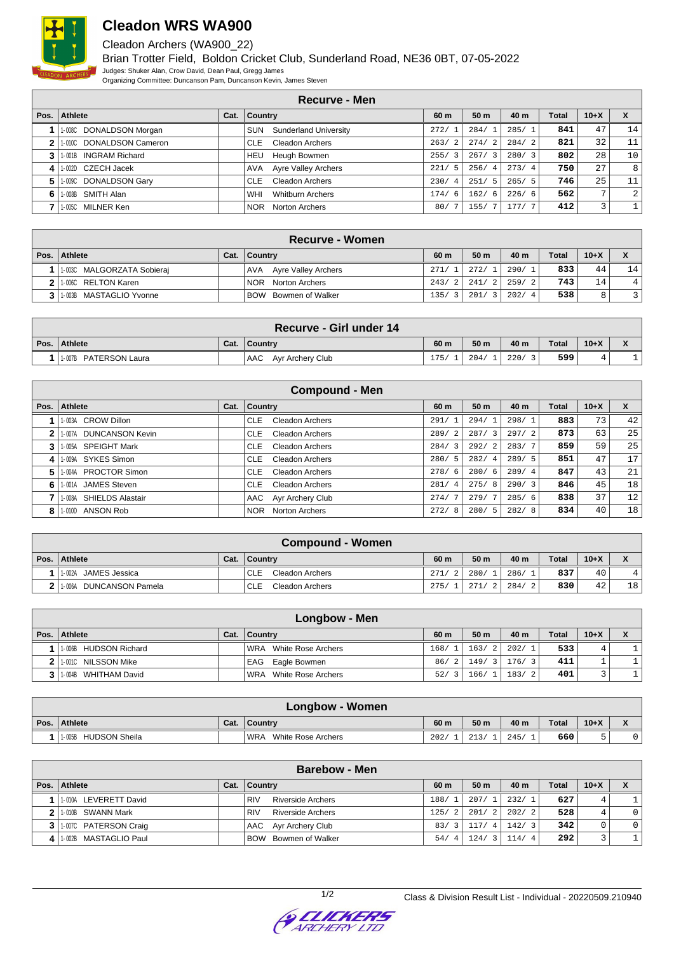

## **Cleadon WRS WA900**

Cleadon Archers (WA900\_22)

Brian Trotter Field, Boldon Cricket Club, Sunderland Road, NE36 0BT, 07-05-2022 Judges: Shuker Alan, Crow David, Dean Paul, Gregg James Organizing Committee: Duncanson Pam, Duncanson Kevin, James Steven

|              | Recurve - Men                   |      |                                     |                        |                 |       |              |                |                 |
|--------------|---------------------------------|------|-------------------------------------|------------------------|-----------------|-------|--------------|----------------|-----------------|
| Pos. $\vert$ | Athlete                         | Cat. | Country                             | 60 m                   | 50 <sub>m</sub> | 40 m  | <b>Total</b> | $10+X$         | X               |
|              | 1-008C DONALDSON Morgan         |      | <b>Sunderland University</b><br>SUN | 272/1                  | 284/1           | 285/1 | 841          | 47             | 14              |
| $\mathbf{2}$ | 1-010C DONALDSON Cameron        |      | <b>Cleadon Archers</b><br>CLE.      | 263/<br>$\overline{2}$ | 274/2           | 284/2 | 821          | 32             | 11              |
| 3            | <b>INGRAM Richard</b><br>1-001B |      | Heugh Bowmen<br>HEU                 | 3<br>255/              | 267/3           | 280/3 | 802          | 28             | 10 <sup>1</sup> |
|              | CZECH Jacek<br>1-002D           |      | <b>Ayre Valley Archers</b><br>AVA   | 5.<br>221/             | 256/4           | 273/4 | 750          | 27             | 8 <sup>1</sup>  |
| 5.           | 1-009C DONALDSON Gary           |      | <b>Cleadon Archers</b><br>CLE.      | 230/<br>$-4$           | 251/5           | 265/5 | 746          | 25             | 11              |
| 6            | SMITH Alan<br>1-008B            |      | WHI<br><b>Whitburn Archers</b>      | 174/<br>6              | 162/6           | 226/6 | 562          | $\overline{ }$ | $\overline{2}$  |
|              | MILNER Ken<br>1-005C            |      | <b>NOR</b><br>Norton Archers        | 80/                    | 155/            | 177/7 | 412          |                |                 |

| <b>Recurve - Women</b>      |      |                         |       |           |        |              |          |      |
|-----------------------------|------|-------------------------|-------|-----------|--------|--------------|----------|------|
| Pos.   Athlete              | Cat. | Country                 | 60 m  | 50 m      | 40 m   | <b>Total</b> | $10 + X$ |      |
| 1-003C MALGORZATA Sobieraj  |      | AVA Ayre Valley Archers | 271/  | 272/1     | 290/1  | 833          | 44       | 14 I |
| 2 1.0060 RELTON Karen       |      | Norton Archers<br>NOR.  | 243/2 | 241/2     | 259/21 | 743          | 14       | 4    |
| 3   1-003B MASTAGLIO Yvonne |      | BOW Bowmen of Walker    | 135/  | 201/<br>3 | 202/4  | 538          |          | 3    |

|              | Recurve - Girl under 14 |      |                         |      |      |      |              |        |  |
|--------------|-------------------------|------|-------------------------|------|------|------|--------------|--------|--|
| Pos. $\vert$ | Athlete                 | Cat. | ∣ Country               | 60 m | 50 m | 40 m | <b>Total</b> | $10+X$ |  |
|              | 1-007B PATERSON Laura   |      | Ayr Archery Club<br>AAC | 175/ | 204/ | 220/ | 599          |        |  |

|              | <b>Compound - Men</b>            |      |                                      |                        |                 |       |       |        |    |
|--------------|----------------------------------|------|--------------------------------------|------------------------|-----------------|-------|-------|--------|----|
| Pos.         | Athlete                          | Cat. | Country                              | 60 m                   | 50 <sub>m</sub> | 40 m  | Total | $10+X$ | X  |
|              | 1-003A CROW Dillon               |      | <b>CLE</b><br><b>Cleadon Archers</b> | 291/                   | 294/            | 298/  | 883   | 73     | 42 |
| $\mathbf{2}$ | <b>DUNCANSON Kevin</b><br>1-007A |      | Cleadon Archers<br><b>CLE</b>        | 289/<br>-2             | 287/3           | 297/2 | 873   | 63     | 25 |
|              | 1-005A SPEIGHT Mark              |      | Cleadon Archers<br><b>CLE</b>        | 284/3                  | 292/2           | 283/7 | 859   | 59     | 25 |
| 4            | 1-009A SYKES Simon               |      | Cleadon Archers<br><b>CLE</b>        | 280/<br>-5             | 282/4           | 289/5 | 851   | 47     | 17 |
| 5.           | 1-004A PROCTOR Simon             |      | Cleadon Archers<br>CLE.              | 278/6                  | 280/6           | 289/4 | 847   | 43     | 21 |
| 6            | 1-001A JAMES Steven              |      | Cleadon Archers<br><b>CLE</b>        | 281/<br>$\overline{4}$ | 275/8           | 290/3 | 846   | 45     | 18 |
|              | 1-008A SHIELDS Alastair          |      | AAC Ayr Archery Club                 | 274/                   | 279/7           | 285/6 | 838   | 37     | 12 |
| 8            | ANSON Rob<br>1-010D              |      | Norton Archers<br><b>NOR</b>         | 272/<br>8              | 280/5           | 282/8 | 834   | 40     | 18 |

| <b>Compound - Women</b>    |      |                         |       |       |            |              |          |                                    |
|----------------------------|------|-------------------------|-------|-------|------------|--------------|----------|------------------------------------|
| Pos.   Athlete             | Cat. | <b>Country</b>          | 60 m  | 50 m  | 40 m       | <b>Total</b> | $10 + X$ | $\mathbf{v}$<br>$\mathbf{\Lambda}$ |
| 1-002A<br>JAMES Jessica    |      | Cleadon Archers<br>CLE  | 271/2 | 280/1 | 286/       | 837          | 40       |                                    |
| DUNCANSON Pamela<br>1-006A |      | Cleadon Archers<br>CLE. | 275/  | 271/  | 284/<br>21 | 830          | 42       | 18 <sup>1</sup>                    |

|                | Longbow - Men         |  |                           |                       |       |       |              |        |  |
|----------------|-----------------------|--|---------------------------|-----------------------|-------|-------|--------------|--------|--|
| Pos.           | <b>Athlete</b>        |  | Cat.   Country            | 60 m                  | 50 m  | 40 m  | <b>Total</b> | $10+X$ |  |
|                | 1-006B HUDSON Richard |  | White Rose Archers<br>WRA | 168/1                 | 163/2 | 202/1 | 533          | 4      |  |
|                | 1-001C NILSSON Mike   |  | EAG Eagle Bowmen          | 86/2                  | 149/3 | 176/3 | 411          |        |  |
| 3 <sup>1</sup> | 1004B WHITHAM David   |  | White Rose Archers<br>WRA | 52/<br>$\overline{3}$ | 166/1 | 183/2 | 401          |        |  |

| <b>Longbow - Women</b>  |      |                           |      |                 |      |       |        |  |
|-------------------------|------|---------------------------|------|-----------------|------|-------|--------|--|
| Pos. Athlete            | Cat. | ∣ Country                 | 60 m | 50 <sub>m</sub> | 40 m | Total | $10+X$ |  |
| HUDSON Sheila<br>1-005B |      | White Rose Archers<br>WRA | 202/ | 213/            | 245/ | 660   |        |  |

|      | <b>Barebow - Men</b>    |  |                                        |          |                 |       |              |        |                |
|------|-------------------------|--|----------------------------------------|----------|-----------------|-------|--------------|--------|----------------|
| Pos. | Athlete                 |  | Cat.   Country                         | 60 m     | 50 <sub>m</sub> | 40 m  | <b>Total</b> | $10+X$ |                |
|      | 1-010A LEVERETT David   |  | <b>RIV</b><br><b>Riverside Archers</b> | 188/     | 207/1           | 232/1 | 627          | 4      |                |
|      | 2 1.010B SWANN Mark     |  | Riverside Archers<br><b>RIV</b>        | 125/2    | 201/2           | 202/2 | 528          | 4      | $\overline{0}$ |
|      | 3 1.007C PATERSON Craig |  | AAC Ayr Archery Club                   | 83/      | 117/4           | 142/3 | 342          |        | $\circ$        |
|      | 1-002B MASTAGLIO Paul   |  | BOW Bowmen of Walker                   | 54/<br>4 | 124/3           | 114/4 | 292          |        |                |

**S ELIEKERS**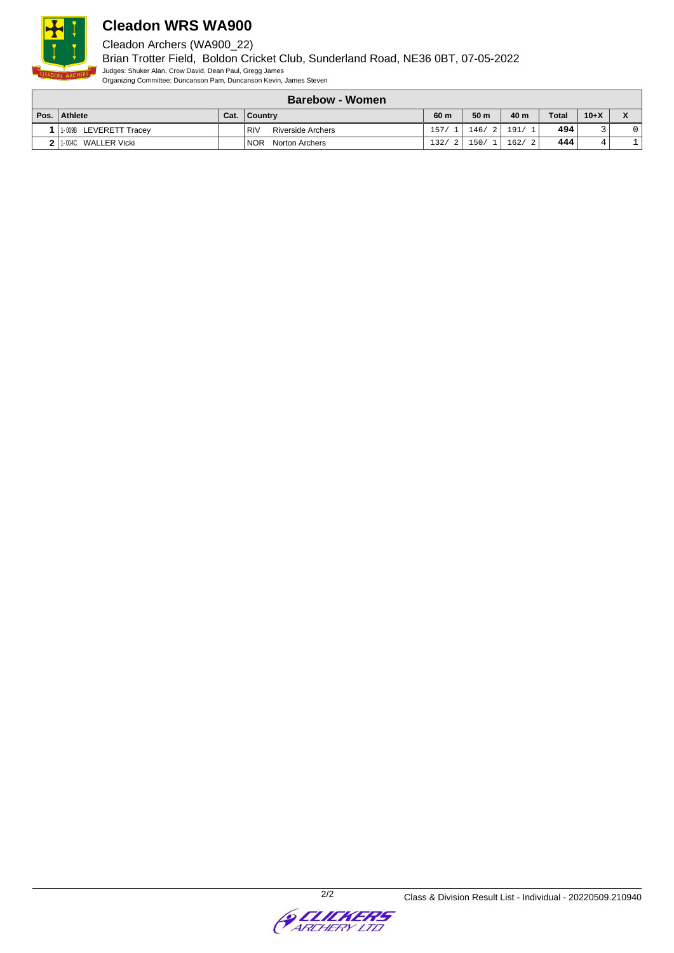

## **Cleadon WRS WA900**

Cleadon Archers (WA900\_22)

Brian Trotter Field, Boldon Cricket Club, Sunderland Road, NE36 0BT, 07-05-2022 Judges: Shuker Alan, Crow David, Dean Paul, Gregg James Organizing Committee: Duncanson Pam, Duncanson Kevin, James Steven

|      | <b>Barebow - Women</b> |  |                                 |       |       |       |              |                          |  |
|------|------------------------|--|---------------------------------|-------|-------|-------|--------------|--------------------------|--|
| Pos. | Athlete                |  | Cat.   Country                  | 60 m  | 50 m  | 40 m  | <b>Total</b> | $10 + X$                 |  |
|      | 1-009B LEVERETT Tracey |  | <b>RIV</b><br>Riverside Archers | 157/1 | 146/2 | 191/1 | 494          | $\overline{\phantom{0}}$ |  |
|      | WALLER Vicki<br>1-004C |  | <b>NOR</b><br>Norton Archers    | 132/  | 150/1 | 162/2 | 444          | 4                        |  |